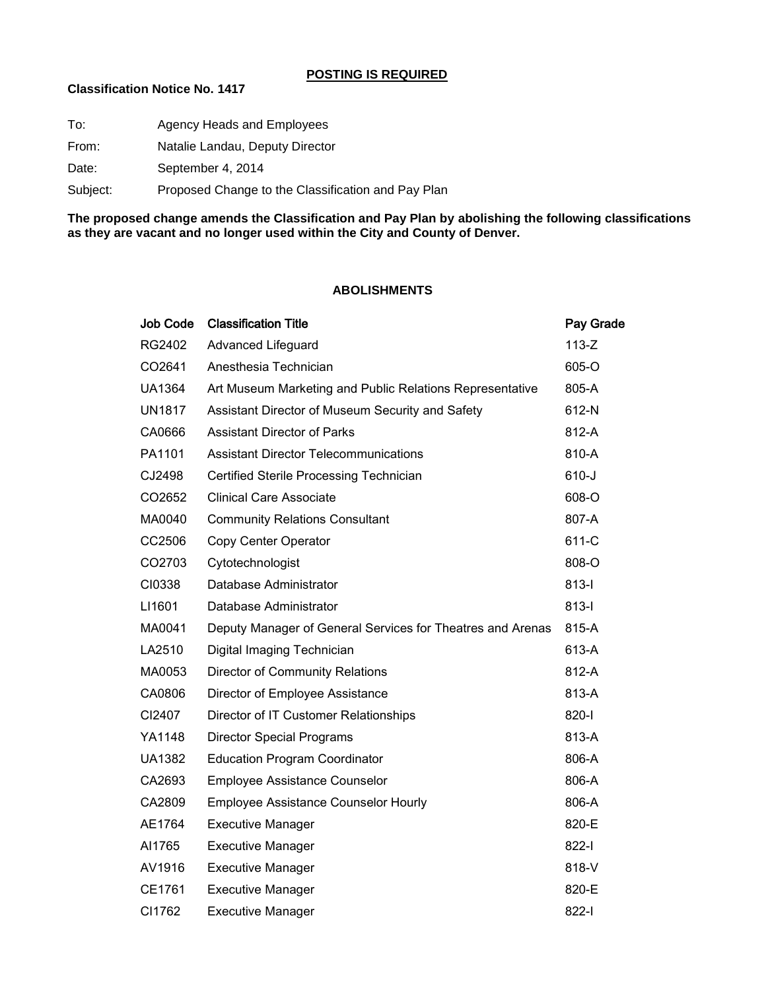## **POSTING IS REQUIRED**

## **Classification Notice No. 1417**

| Agency Heads and Employees                         |
|----------------------------------------------------|
| Natalie Landau, Deputy Director                    |
| September 4, 2014                                  |
| Proposed Change to the Classification and Pay Plan |
|                                                    |

**The proposed change amends the Classification and Pay Plan by abolishing the following classifications as they are vacant and no longer used within the City and County of Denver.**

## **ABOLISHMENTS**

| Job Code      | <b>Classification Title</b>                                | Pay Grade |
|---------------|------------------------------------------------------------|-----------|
| RG2402        | Advanced Lifeguard                                         | $113-Z$   |
| CO2641        | Anesthesia Technician                                      | 605-O     |
| <b>UA1364</b> | Art Museum Marketing and Public Relations Representative   | 805-A     |
| UN1817        | Assistant Director of Museum Security and Safety           | 612-N     |
| CA0666        | <b>Assistant Director of Parks</b>                         | 812-A     |
| PA1101        | <b>Assistant Director Telecommunications</b>               | 810-A     |
| CJ2498        | Certified Sterile Processing Technician                    | $610 - J$ |
| CO2652        | <b>Clinical Care Associate</b>                             | 608-O     |
| MA0040        | <b>Community Relations Consultant</b>                      | 807-A     |
| CC2506        | Copy Center Operator                                       | 611-C     |
| CO2703        | Cytotechnologist                                           | 808-O     |
| CI0338        | Database Administrator                                     | $813-I$   |
| LI1601        | Database Administrator                                     | $813-I$   |
| MA0041        | Deputy Manager of General Services for Theatres and Arenas | 815-A     |
| LA2510        | Digital Imaging Technician                                 | 613-A     |
| MA0053        | <b>Director of Community Relations</b>                     | 812-A     |
| CA0806        | Director of Employee Assistance                            | 813-A     |
| CI2407        | Director of IT Customer Relationships                      | 820-l     |
| YA1148        | <b>Director Special Programs</b>                           | 813-A     |
| <b>UA1382</b> | <b>Education Program Coordinator</b>                       | 806-A     |
| CA2693        | Employee Assistance Counselor                              | 806-A     |
| CA2809        | <b>Employee Assistance Counselor Hourly</b>                | 806-A     |
| AE1764        | <b>Executive Manager</b>                                   | 820-E     |
| AI1765        | <b>Executive Manager</b>                                   | 822-l     |
| AV1916        | <b>Executive Manager</b>                                   | 818-V     |
| CE1761        | <b>Executive Manager</b>                                   | 820-E     |
| CI1762        | <b>Executive Manager</b>                                   | 822-l     |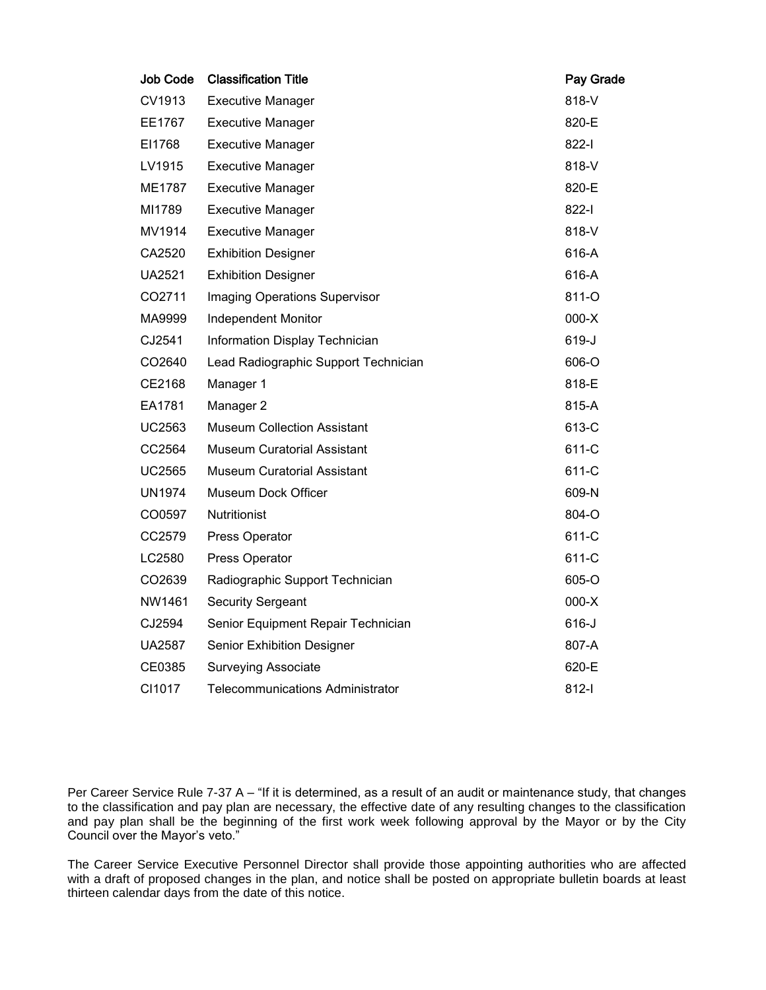| <b>Job Code</b> | <b>Classification Title</b>             | Pay Grade |
|-----------------|-----------------------------------------|-----------|
| CV1913          | <b>Executive Manager</b>                | 818-V     |
| EE1767          | <b>Executive Manager</b>                | 820-E     |
| EI1768          | <b>Executive Manager</b>                | 822-l     |
| LV1915          | <b>Executive Manager</b>                | 818-V     |
| ME1787          | <b>Executive Manager</b>                | 820-E     |
| MI1789          | <b>Executive Manager</b>                | 822-l     |
| MV1914          | <b>Executive Manager</b>                | 818-V     |
| CA2520          | <b>Exhibition Designer</b>              | 616-A     |
| <b>UA2521</b>   | <b>Exhibition Designer</b>              | 616-A     |
| CO2711          | Imaging Operations Supervisor           | 811-O     |
| MA9999          | <b>Independent Monitor</b>              | $000-X$   |
| CJ2541          | Information Display Technician          | 619-J     |
| CO2640          | Lead Radiographic Support Technician    | 606-O     |
| CE2168          | Manager 1                               | 818-E     |
| EA1781          | Manager 2                               | 815-A     |
| UC2563          | <b>Museum Collection Assistant</b>      | 613-C     |
| CC2564          | <b>Museum Curatorial Assistant</b>      | 611-C     |
| <b>UC2565</b>   | <b>Museum Curatorial Assistant</b>      | 611-C     |
| <b>UN1974</b>   | Museum Dock Officer                     | 609-N     |
| CO0597          | <b>Nutritionist</b>                     | 804-O     |
| CC2579          | Press Operator                          | 611-C     |
| LC2580          | Press Operator                          | 611-C     |
| CO2639          | Radiographic Support Technician         | 605-O     |
| NW1461          | <b>Security Sergeant</b>                | $000-X$   |
| CJ2594          | Senior Equipment Repair Technician      | $616 - J$ |
| <b>UA2587</b>   | <b>Senior Exhibition Designer</b>       | 807-A     |
| CE0385          | <b>Surveying Associate</b>              | 620-E     |
| CI1017          | <b>Telecommunications Administrator</b> | 812-l     |

Per Career Service Rule 7-37 A – "If it is determined, as a result of an audit or maintenance study, that changes to the classification and pay plan are necessary, the effective date of any resulting changes to the classification and pay plan shall be the beginning of the first work week following approval by the Mayor or by the City Council over the Mayor's veto."

The Career Service Executive Personnel Director shall provide those appointing authorities who are affected with a draft of proposed changes in the plan, and notice shall be posted on appropriate bulletin boards at least thirteen calendar days from the date of this notice.